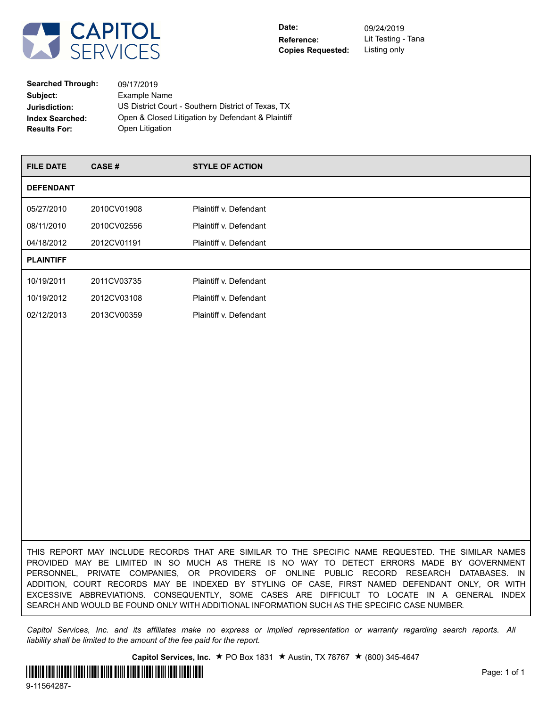

**Searched Through:** 09/17/2019 **Subject:** Example Name **Jurisdiction:** US District Court - Southern District of Texas, TX **Index Searched:** Open & Closed Litigation by Defendant & Plaintiff **Results For:** Open Litigation

| <b>FILE DATE</b> | CASE#       | <b>STYLE OF ACTION</b> |
|------------------|-------------|------------------------|
| <b>DEFENDANT</b> |             |                        |
| 05/27/2010       | 2010CV01908 | Plaintiff v. Defendant |
| 08/11/2010       | 2010CV02556 | Plaintiff v. Defendant |
| 04/18/2012       | 2012CV01191 | Plaintiff v. Defendant |
| <b>PLAINTIFF</b> |             |                        |
| 10/19/2011       | 2011CV03735 | Plaintiff v. Defendant |
| 10/19/2012       | 2012CV03108 | Plaintiff v. Defendant |
| 02/12/2013       | 2013CV00359 | Plaintiff v. Defendant |
|                  |             |                        |

THIS REPORT MAY INCLUDE RECORDS THAT ARE SIMILAR TO THE SPECIFIC NAME REQUESTED. THE SIMILAR NAMES PROVIDED MAY BE LIMITED IN SO MUCH AS THERE IS NO WAY TO DETECT ERRORS MADE BY GOVERNMENT PERSONNEL, PRIVATE COMPANIES, OR PROVIDERS OF ONLINE PUBLIC RECORD RESEARCH DATABASES. IN ADDITION, COURT RECORDS MAY BE INDEXED BY STYLING OF CASE, FIRST NAMED DEFENDANT ONLY, OR WITH EXCESSIVE ABBREVIATIONS. CONSEQUENTLY, SOME CASES ARE DIFFICULT TO LOCATE IN A GENERAL INDEX SEARCH AND WOULD BE FOUND ONLY WITH ADDITIONAL INFORMATION SUCH AS THE SPECIFIC CASE NUMBER.

*Capitol Services, Inc. and its affiliates make no express or implied representation or warranty regarding search reports. All liability shall be limited to the amount of the fee paid for the report.*

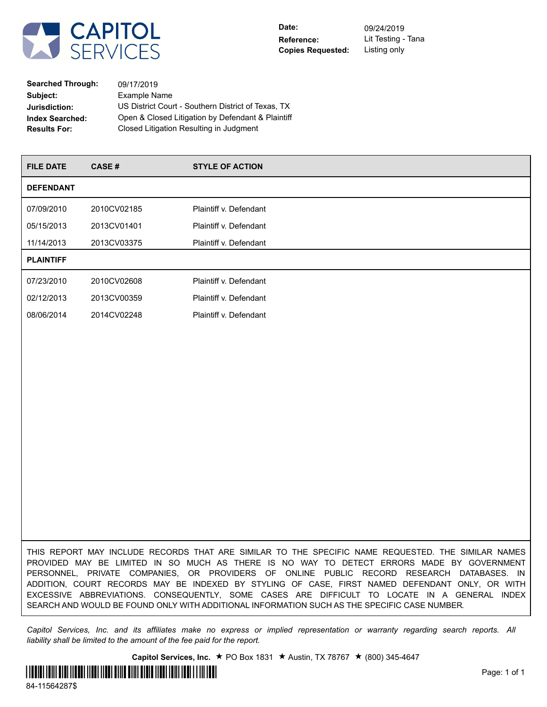

| <b>Searched Through:</b> | 09/17/2019                                         |
|--------------------------|----------------------------------------------------|
| Subject:                 | Example Name                                       |
| Jurisdiction:            | US District Court - Southern District of Texas, TX |
| <b>Index Searched:</b>   | Open & Closed Litigation by Defendant & Plaintiff  |
| <b>Results For:</b>      | Closed Litigation Resulting in Judgment            |

| <b>FILE DATE</b> | CASE#       | <b>STYLE OF ACTION</b> |
|------------------|-------------|------------------------|
| <b>DEFENDANT</b> |             |                        |
| 07/09/2010       | 2010CV02185 | Plaintiff v. Defendant |
| 05/15/2013       | 2013CV01401 | Plaintiff v. Defendant |
| 11/14/2013       | 2013CV03375 | Plaintiff v. Defendant |
| <b>PLAINTIFF</b> |             |                        |
| 07/23/2010       | 2010CV02608 | Plaintiff v. Defendant |
| 02/12/2013       | 2013CV00359 | Plaintiff v. Defendant |
| 08/06/2014       | 2014CV02248 | Plaintiff v. Defendant |
|                  |             |                        |

THIS REPORT MAY INCLUDE RECORDS THAT ARE SIMILAR TO THE SPECIFIC NAME REQUESTED. THE SIMILAR NAMES PROVIDED MAY BE LIMITED IN SO MUCH AS THERE IS NO WAY TO DETECT ERRORS MADE BY GOVERNMENT PERSONNEL, PRIVATE COMPANIES, OR PROVIDERS OF ONLINE PUBLIC RECORD RESEARCH DATABASES. IN ADDITION, COURT RECORDS MAY BE INDEXED BY STYLING OF CASE, FIRST NAMED DEFENDANT ONLY, OR WITH EXCESSIVE ABBREVIATIONS. CONSEQUENTLY, SOME CASES ARE DIFFICULT TO LOCATE IN A GENERAL INDEX SEARCH AND WOULD BE FOUND ONLY WITH ADDITIONAL INFORMATION SUCH AS THE SPECIFIC CASE NUMBER.

*Capitol Services, Inc. and its affiliates make no express or implied representation or warranty regarding search reports. All liability shall be limited to the amount of the fee paid for the report.*

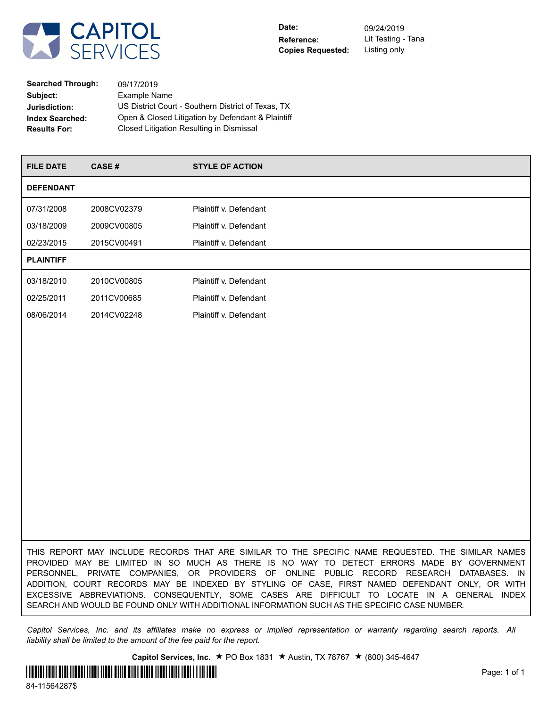

| <b>Searched Through:</b> | 09/17/2019                                         |
|--------------------------|----------------------------------------------------|
| Subject:                 | Example Name                                       |
| Jurisdiction:            | US District Court - Southern District of Texas, TX |
| <b>Index Searched:</b>   | Open & Closed Litigation by Defendant & Plaintiff  |
| <b>Results For:</b>      | Closed Litigation Resulting in Dismissal           |

| <b>FILE DATE</b> | CASE#       | <b>STYLE OF ACTION</b> |
|------------------|-------------|------------------------|
| <b>DEFENDANT</b> |             |                        |
| 07/31/2008       | 2008CV02379 | Plaintiff v. Defendant |
| 03/18/2009       | 2009CV00805 | Plaintiff v. Defendant |
| 02/23/2015       | 2015CV00491 | Plaintiff v. Defendant |
| <b>PLAINTIFF</b> |             |                        |
| 03/18/2010       | 2010CV00805 | Plaintiff v. Defendant |
| 02/25/2011       | 2011CV00685 | Plaintiff v. Defendant |
| 08/06/2014       | 2014CV02248 | Plaintiff v. Defendant |
|                  |             |                        |

THIS REPORT MAY INCLUDE RECORDS THAT ARE SIMILAR TO THE SPECIFIC NAME REQUESTED. THE SIMILAR NAMES PROVIDED MAY BE LIMITED IN SO MUCH AS THERE IS NO WAY TO DETECT ERRORS MADE BY GOVERNMENT PERSONNEL, PRIVATE COMPANIES, OR PROVIDERS OF ONLINE PUBLIC RECORD RESEARCH DATABASES. IN ADDITION, COURT RECORDS MAY BE INDEXED BY STYLING OF CASE, FIRST NAMED DEFENDANT ONLY, OR WITH EXCESSIVE ABBREVIATIONS. CONSEQUENTLY, SOME CASES ARE DIFFICULT TO LOCATE IN A GENERAL INDEX SEARCH AND WOULD BE FOUND ONLY WITH ADDITIONAL INFORMATION SUCH AS THE SPECIFIC CASE NUMBER.

*Capitol Services, Inc. and its affiliates make no express or implied representation or warranty regarding search reports. All liability shall be limited to the amount of the fee paid for the report.*